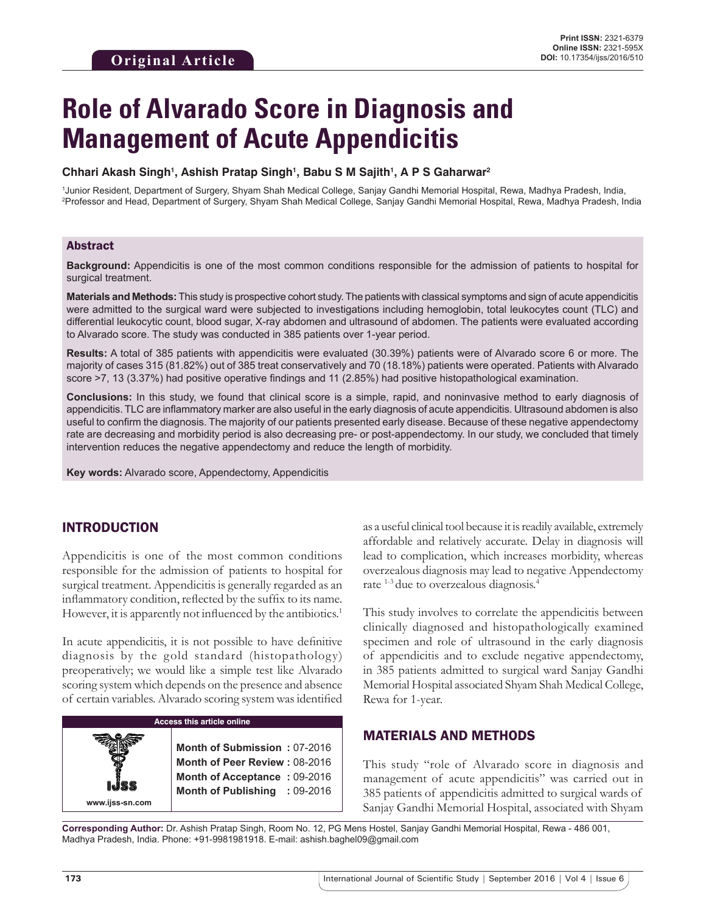# **Role of Alvarado Score in Diagnosis and Management of Acute Appendicitis**

#### **Chhari Akash Singh1 , Ashish Pratap Singh1 , Babu S M Sajith1 , A P S Gaharwar2**

1 Junior Resident, Department of Surgery, Shyam Shah Medical College, Sanjay Gandhi Memorial Hospital, Rewa, Madhya Pradesh, India, 2 Professor and Head, Department of Surgery, Shyam Shah Medical College, Sanjay Gandhi Memorial Hospital, Rewa, Madhya Pradesh, India

#### Abstract

**Background:** Appendicitis is one of the most common conditions responsible for the admission of patients to hospital for surgical treatment.

**Materials and Methods:** This study is prospective cohort study. The patients with classical symptoms and sign of acute appendicitis were admitted to the surgical ward were subjected to investigations including hemoglobin, total leukocytes count (TLC) and differential leukocytic count, blood sugar, X-ray abdomen and ultrasound of abdomen. The patients were evaluated according to Alvarado score. The study was conducted in 385 patients over 1-year period.

**Results:** A total of 385 patients with appendicitis were evaluated (30.39%) patients were of Alvarado score 6 or more. The majority of cases 315 (81.82%) out of 385 treat conservatively and 70 (18.18%) patients were operated. Patients with Alvarado score >7, 13 (3.37%) had positive operative findings and 11 (2.85%) had positive histopathological examination.

**Conclusions:** In this study, we found that clinical score is a simple, rapid, and noninvasive method to early diagnosis of appendicitis. TLC are inflammatory marker are also useful in the early diagnosis of acute appendicitis. Ultrasound abdomen is also useful to confirm the diagnosis. The majority of our patients presented early disease. Because of these negative appendectomy rate are decreasing and morbidity period is also decreasing pre- or post-appendectomy. In our study, we concluded that timely intervention reduces the negative appendectomy and reduce the length of morbidity.

**Key words:** Alvarado score, Appendectomy, Appendicitis

# INTRODUCTION

Appendicitis is one of the most common conditions responsible for the admission of patients to hospital for surgical treatment. Appendicitis is generally regarded as an inflammatory condition, reflected by the suffix to its name. However, it is apparently not influenced by the antibiotics.<sup>1</sup>

In acute appendicitis, it is not possible to have definitive diagnosis by the gold standard (histopathology) preoperatively; we would like a simple test like Alvarado scoring system which depends on the presence and absence of certain variables. Alvarado scoring system was identified

## **Access this article online**

**Month of Submission :** 07-2016 **Month of Peer Review :** 08-2016 **Month of Acceptance :** 09-2016 **Month of Publishing :** 09-2016 as a useful clinical tool because it is readily available, extremely affordable and relatively accurate. Delay in diagnosis will lead to complication, which increases morbidity, whereas overzealous diagnosis may lead to negative Appendectomy rate 1-3 due to overzealous diagnosis.4

This study involves to correlate the appendicitis between clinically diagnosed and histopathologically examined specimen and role of ultrasound in the early diagnosis of appendicitis and to exclude negative appendectomy, in 385 patients admitted to surgical ward Sanjay Gandhi Memorial Hospital associated Shyam Shah Medical College, Rewa for 1-year.

## MATERIALS AND METHODS

This study "role of Alvarado score in diagnosis and management of acute appendicitis" was carried out in 385 patients of appendicitis admitted to surgical wards of Sanjay Gandhi Memorial Hospital, associated with Shyam

**Corresponding Author:** Dr. Ashish Pratap Singh, Room No. 12, PG Mens Hostel, Sanjay Gandhi Memorial Hospital, Rewa - 486 001, Madhya Pradesh, India. Phone: +91-9981981918. E-mail: ashish.baghel09@gmail.com

**www.ijss-sn.com**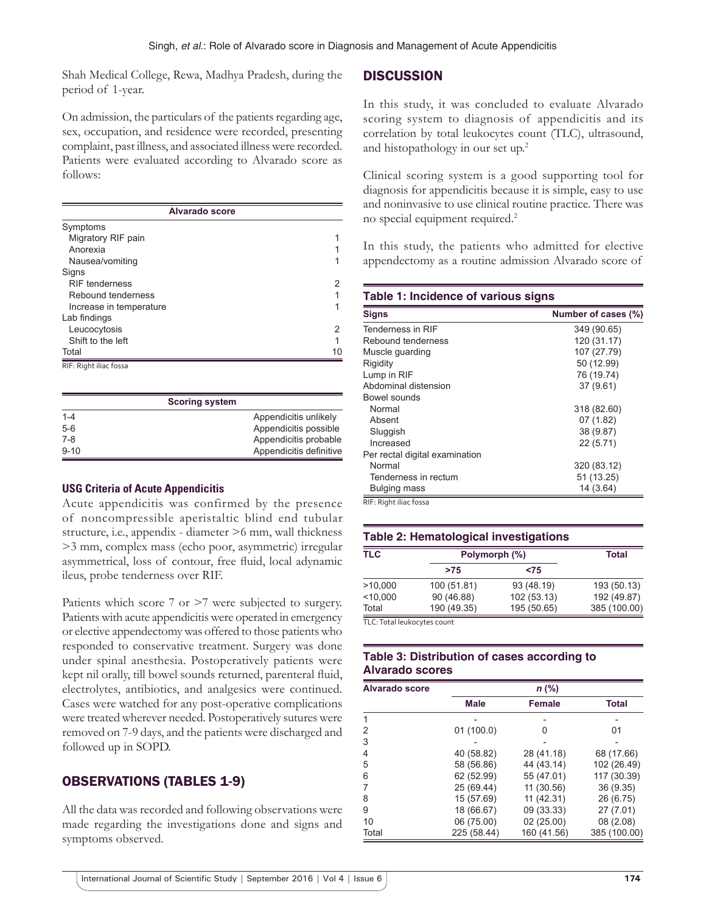Shah Medical College, Rewa, Madhya Pradesh, during the period of 1-year.

On admission, the particulars of the patients regarding age, sex, occupation, and residence were recorded, presenting complaint, past illness, and associated illness were recorded. Patients were evaluated according to Alvarado score as follows:

| <b>Alvarado score</b>   |    |  |
|-------------------------|----|--|
| Symptoms                |    |  |
| Migratory RIF pain      |    |  |
| Anorexia                |    |  |
| Nausea/vomiting         |    |  |
| Signs                   |    |  |
| <b>RIF tenderness</b>   | 2  |  |
| Rebound tenderness      |    |  |
| Increase in temperature | 1  |  |
| Lab findings            |    |  |
| Leucocytosis            | 2  |  |
| Shift to the left       | 1  |  |
| Total                   | 10 |  |
| RIF: Right iliac fossa  |    |  |

|          | <b>Scoring system</b> |                         |
|----------|-----------------------|-------------------------|
| $1 - 4$  |                       | Appendicitis unlikely   |
| $5-6$    |                       | Appendicitis possible   |
| $7-8$    |                       | Appendicitis probable   |
| $9 - 10$ |                       | Appendicitis definitive |

## **USG Criteria of Acute Appendicitis**

Acute appendicitis was confirmed by the presence of noncompressible aperistaltic blind end tubular structure, i.e., appendix - diameter >6 mm, wall thickness >3 mm, complex mass (echo poor, asymmetric) irregular asymmetrical, loss of contour, free fluid, local adynamic ileus, probe tenderness over RIF.

Patients which score 7 or >7 were subjected to surgery. Patients with acute appendicitis were operated in emergency or elective appendectomy was offered to those patients who responded to conservative treatment. Surgery was done under spinal anesthesia. Postoperatively patients were kept nil orally, till bowel sounds returned, parenteral fluid, electrolytes, antibiotics, and analgesics were continued. Cases were watched for any post-operative complications were treated wherever needed. Postoperatively sutures were removed on 7-9 days, and the patients were discharged and followed up in SOPD.

# OBSERVATIONS (TABLES 1-9)

All the data was recorded and following observations were made regarding the investigations done and signs and symptoms observed.

## **DISCUSSION**

In this study, it was concluded to evaluate Alvarado scoring system to diagnosis of appendicitis and its correlation by total leukocytes count (TLC), ultrasound, and histopathology in our set up.2

Clinical scoring system is a good supporting tool for diagnosis for appendicitis because it is simple, easy to use and noninvasive to use clinical routine practice. There was no special equipment required.2

In this study, the patients who admitted for elective appendectomy as a routine admission Alvarado score of

#### **Table 1: Incidence of various signs**

| <b>Signs</b>                   | Number of cases (%) |
|--------------------------------|---------------------|
| Tenderness in RIF              | 349 (90.65)         |
| Rebound tenderness             | 120 (31.17)         |
| Muscle guarding                | 107 (27.79)         |
| Rigidity                       | 50 (12.99)          |
| Lump in RIF                    | 76 (19.74)          |
| Abdominal distension           | 37 (9.61)           |
| Bowel sounds                   |                     |
| Normal                         | 318 (82.60)         |
| Absent                         | 07(1.82)            |
| Sluggish                       | 38 (9.87)           |
| Increased                      | 22(5.71)            |
| Per rectal digital examination |                     |
| Normal                         | 320 (83.12)         |
| Tenderness in rectum           | 51 (13.25)          |
| Bulging mass                   | 14 (3.64)           |

RIF: Right iliac fossa

#### **Table 2: Hematological investigations**

| <b>TLC</b>                  | Polymorph (%) |             | <b>Total</b> |
|-----------------------------|---------------|-------------|--------------|
|                             | >75           | <75         |              |
| >10,000                     | 100 (51.81)   | 93 (48.19)  | 193 (50.13)  |
| < 10.000                    | 90 (46.88)    | 102 (53.13) | 192 (49.87)  |
| Total                       | 190 (49.35)   | 195 (50.65) | 385 (100.00) |
| TLC: Total leukocytes count |               |             |              |

## **Table 3: Distribution of cases according to Alvarado scores**

| <b>Alvarado score</b> | $n$ (%)     |               |              |  |
|-----------------------|-------------|---------------|--------------|--|
|                       | <b>Male</b> | <b>Female</b> | <b>Total</b> |  |
| 1                     |             |               |              |  |
| 2                     | 01(100.0)   | 0             | 01           |  |
| 3                     |             |               |              |  |
| 4                     | 40 (58.82)  | 28 (41.18)    | 68 (17.66)   |  |
| 5                     | 58 (56.86)  | 44 (43.14)    | 102 (26.49)  |  |
| 6                     | 62 (52.99)  | 55 (47.01)    | 117 (30.39)  |  |
| 7                     | 25 (69.44)  | 11 (30.56)    | 36 (9.35)    |  |
| 8                     | 15 (57.69)  | 11(42.31)     | 26 (6.75)    |  |
| 9                     | 18 (66.67)  | 09 (33.33)    | 27 (7.01)    |  |
| 10                    | 06 (75.00)  | 02 (25.00)    | 08(2.08)     |  |
| Total                 | 225 (58.44) | 160 (41.56)   | 385 (100.00) |  |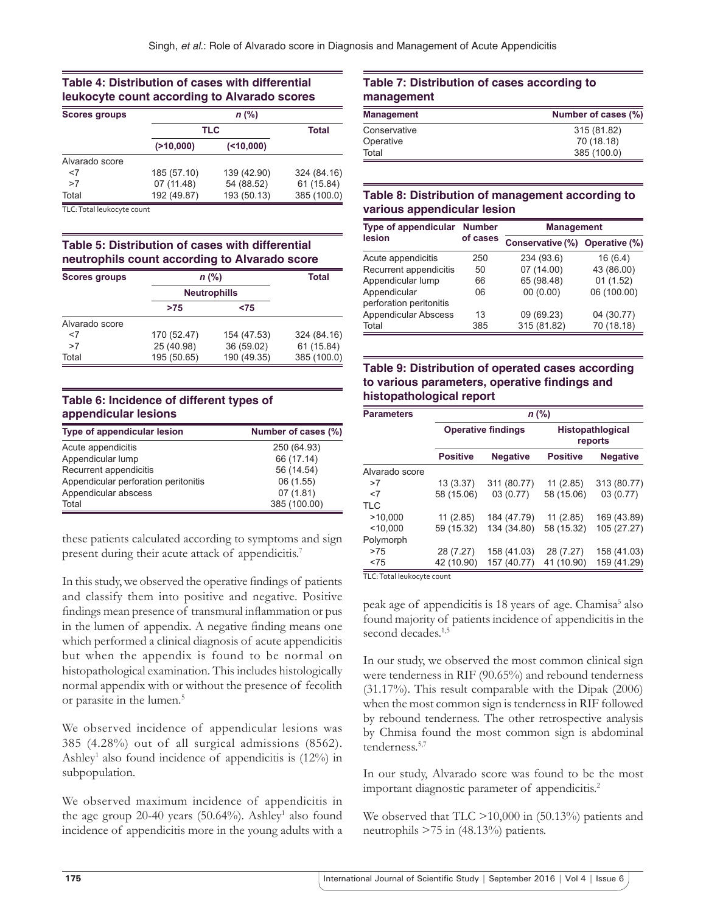## **Table 4: Distribution of cases with differential leukocyte count according to Alvarado scores**

| <b>Scores groups</b> |             | n (%)       |             |  |  |
|----------------------|-------------|-------------|-------------|--|--|
|                      | <b>TLC</b>  | Total       |             |  |  |
|                      | (210,000)   | ( < 10,000) |             |  |  |
| Alvarado score       |             |             |             |  |  |
| $<$ 7                | 185 (57.10) | 139 (42.90) | 324 (84.16) |  |  |
| >7                   | 07 (11.48)  | 54 (88.52)  | 61 (15.84)  |  |  |
| Total                | 192 (49.87) | 193 (50.13) | 385 (100.0) |  |  |

TLC: Total leukocyte count

## **Table 5: Distribution of cases with differential neutrophils count according to Alvarado score**

| <b>Scores groups</b> | $n$ (%)     | <b>Total</b>        |             |
|----------------------|-------------|---------------------|-------------|
|                      |             | <b>Neutrophills</b> |             |
|                      | >75         | < 75                |             |
| Alvarado score       |             |                     |             |
| $<$ 7                | 170 (52.47) | 154 (47.53)         | 324 (84.16) |
| >7                   | 25 (40.98)  | 36 (59.02)          | 61 (15.84)  |
| Total                | 195 (50.65) | 190 (49.35)         | 385 (100.0) |

## **Table 6: Incidence of different types of appendicular lesions**

| Type of appendicular lesion          | Number of cases (%) |
|--------------------------------------|---------------------|
| Acute appendicitis                   | 250 (64.93)         |
| Appendicular lump                    | 66 (17.14)          |
| Recurrent appendicitis               | 56 (14.54)          |
| Appendicular perforation peritonitis | 06 (1.55)           |
| Appendicular abscess                 | 07(1.81)            |
| Total                                | 385 (100.00)        |

these patients calculated according to symptoms and sign present during their acute attack of appendicitis.<sup>7</sup>

In this study, we observed the operative findings of patients and classify them into positive and negative. Positive findings mean presence of transmural inflammation or pus in the lumen of appendix. A negative finding means one which performed a clinical diagnosis of acute appendicitis but when the appendix is found to be normal on histopathological examination. This includes histologically normal appendix with or without the presence of fecolith or parasite in the lumen.<sup>5</sup>

We observed incidence of appendicular lesions was 385 (4.28%) out of all surgical admissions (8562). Ashley<sup>1</sup> also found incidence of appendicitis is (12%) in subpopulation.

We observed maximum incidence of appendicitis in the age group  $20-40$  years (50.64%). Ashley<sup>1</sup> also found incidence of appendicitis more in the young adults with a

## **Table 7: Distribution of cases according to management**

| <b>Management</b> | Number of cases (%) |
|-------------------|---------------------|
| Conservative      | 315 (81.82)         |
| Operative         | 70 (18.18)          |
| Total             | 385 (100.0)         |

## **Table 8: Distribution of management according to various appendicular lesion**

| Type of appendicular                    | <b>Number</b><br>of cases | <b>Management</b>              |             |  |
|-----------------------------------------|---------------------------|--------------------------------|-------------|--|
| lesion                                  |                           | Conservative (%) Operative (%) |             |  |
| Acute appendicitis                      | 250                       | 234 (93.6)                     | 16(6.4)     |  |
| Recurrent appendicitis                  | 50                        | 07(14.00)                      | 43 (86.00)  |  |
| Appendicular lump                       | 66                        | 65 (98.48)                     | 01(1.52)    |  |
| Appendicular<br>perforation peritonitis | 06                        | 00(0.00)                       | 06 (100.00) |  |
| <b>Appendicular Abscess</b>             | 13                        | 09 (69.23)                     | 04 (30.77)  |  |
| Total                                   | 385                       | 315 (81.82)                    | 70 (18.18)  |  |

## **Table 9: Distribution of operated cases according to various parameters, operative findings and histopathological report**

| <b>Parameters</b> | $n$ (%)                   |                 |                                    |                 |
|-------------------|---------------------------|-----------------|------------------------------------|-----------------|
|                   | <b>Operative findings</b> |                 | <b>Histopathlogical</b><br>reports |                 |
|                   | <b>Positive</b>           | <b>Negative</b> | <b>Positive</b>                    | <b>Negative</b> |
| Alvarado score    |                           |                 |                                    |                 |
| >7                | 13 (3.37)                 | 311 (80.77)     | 11(2.85)                           | 313 (80.77)     |
| $<$ 7             | 58 (15.06)                | 03(0.77)        | 58 (15.06)                         | 03(0.77)        |
| <b>TLC</b>        |                           |                 |                                    |                 |
| >10.000           | 11(2.85)                  | 184 (47.79)     | 11(2.85)                           | 169 (43.89)     |
| < 10,000          | 59 (15.32)                | 134 (34.80)     | 58 (15.32)                         | 105 (27.27)     |
| Polymorph         |                           |                 |                                    |                 |
| >75               | 28 (7.27)                 | 158 (41.03)     | 28 (7.27)                          | 158 (41.03)     |
| < 75              | 42 (10.90)                | 157 (40.77)     | 41 (10.90)                         | 159 (41.29)     |

TLC: Total leukocyte count

peak age of appendicitis is 18 years of age. Chamisa<sup>5</sup> also found majority of patients incidence of appendicitis in the second decades.<sup>1,5</sup>

In our study, we observed the most common clinical sign were tenderness in RIF (90.65%) and rebound tenderness (31.17%). This result comparable with the Dipak (2006) when the most common sign is tenderness in RIF followed by rebound tenderness. The other retrospective analysis by Chmisa found the most common sign is abdominal tenderness<sup>5,7</sup>

In our study, Alvarado score was found to be the most important diagnostic parameter of appendicitis.<sup>2</sup>

We observed that TLC >10,000 in (50.13%) patients and neutrophils >75 in (48.13%) patients.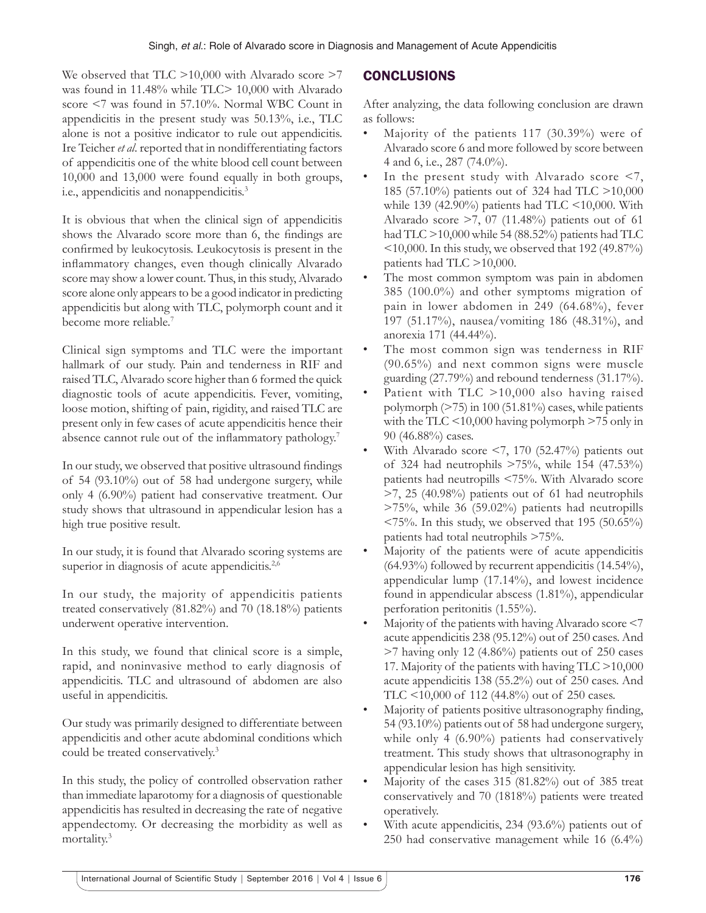We observed that TLC  $>10,000$  with Alvarado score  $>7$ was found in 11.48% while TLC> 10,000 with Alvarado score <7 was found in 57.10%. Normal WBC Count in appendicitis in the present study was 50.13%, i.e., TLC alone is not a positive indicator to rule out appendicitis. Ire Teicher *et al*. reported that in nondifferentiating factors of appendicitis one of the white blood cell count between 10,000 and 13,000 were found equally in both groups, i.e., appendicitis and nonappendicitis.3

It is obvious that when the clinical sign of appendicitis shows the Alvarado score more than 6, the findings are confirmed by leukocytosis. Leukocytosis is present in the inflammatory changes, even though clinically Alvarado score may show a lower count. Thus, in this study, Alvarado score alone only appears to be a good indicator in predicting appendicitis but along with TLC, polymorph count and it become more reliable.<sup>7</sup>

Clinical sign symptoms and TLC were the important hallmark of our study. Pain and tenderness in RIF and raised TLC, Alvarado score higher than 6 formed the quick diagnostic tools of acute appendicitis. Fever, vomiting, loose motion, shifting of pain, rigidity, and raised TLC are present only in few cases of acute appendicitis hence their absence cannot rule out of the inflammatory pathology.<sup>7</sup>

In our study, we observed that positive ultrasound findings of 54 (93.10%) out of 58 had undergone surgery, while only 4 (6.90%) patient had conservative treatment. Our study shows that ultrasound in appendicular lesion has a high true positive result.

In our study, it is found that Alvarado scoring systems are superior in diagnosis of acute appendicitis.<sup>2,6</sup>

In our study, the majority of appendicitis patients treated conservatively (81.82%) and 70 (18.18%) patients underwent operative intervention.

In this study, we found that clinical score is a simple, rapid, and noninvasive method to early diagnosis of appendicitis. TLC and ultrasound of abdomen are also useful in appendicitis.

Our study was primarily designed to differentiate between appendicitis and other acute abdominal conditions which could be treated conservatively.3

In this study, the policy of controlled observation rather than immediate laparotomy for a diagnosis of questionable appendicitis has resulted in decreasing the rate of negative appendectomy. Or decreasing the morbidity as well as mortality.3

# **CONCLUSIONS**

After analyzing, the data following conclusion are drawn as follows:

- Majority of the patients 117 (30.39%) were of Alvarado score 6 and more followed by score between 4 and 6, i.e., 287 (74.0%).
- In the present study with Alvarado score  $\leq 7$ , 185 (57.10%) patients out of 324 had TLC >10,000 while 139 (42.90%) patients had TLC  $\leq$ 10,000. With Alvarado score  $\geq$ 7, 07 (11.48%) patients out of 61 had TLC >10,000 while 54 (88.52%) patients had TLC <10,000. In this study, we observed that 192 (49.87%) patients had TLC >10,000.
- The most common symptom was pain in abdomen 385 (100.0%) and other symptoms migration of pain in lower abdomen in 249 (64.68%), fever 197 (51.17%), nausea/vomiting 186 (48.31%), and anorexia 171 (44.44%).
- The most common sign was tenderness in RIF (90.65%) and next common signs were muscle guarding (27.79%) and rebound tenderness (31.17%).
- Patient with TLC >10,000 also having raised polymorph (>75) in 100 (51.81%) cases, while patients with the TLC  $\leq$  10,000 having polymorph  $\geq$  75 only in 90 (46.88%) cases.
- With Alvarado score  $\leq$ 7, 170 (52.47%) patients out of 324 had neutrophils >75%, while 154 (47.53%) patients had neutropills <75%. With Alvarado score >7, 25 (40.98%) patients out of 61 had neutrophils >75%, while 36 (59.02%) patients had neutropills  $\langle 75\%$ . In this study, we observed that 195 (50.65%) patients had total neutrophils >75%.
- Majority of the patients were of acute appendicitis  $(64.93\%)$  followed by recurrent appendicitis  $(14.54\%).$ appendicular lump (17.14%), and lowest incidence found in appendicular abscess (1.81%), appendicular perforation peritonitis (1.55%).
- Majority of the patients with having Alvarado score <7 acute appendicitis 238 (95.12%) out of 250 cases. And >7 having only 12 (4.86%) patients out of 250 cases 17. Majority of the patients with having TLC >10,000 acute appendicitis 138 (55.2%) out of 250 cases. And TLC <10,000 of 112 (44.8%) out of 250 cases.
- Majority of patients positive ultrasonography finding, 54 (93.10%) patients out of 58 had undergone surgery, while only 4 (6.90%) patients had conservatively treatment. This study shows that ultrasonography in appendicular lesion has high sensitivity.
- Majority of the cases 315 (81.82%) out of 385 treat conservatively and 70 (1818%) patients were treated operatively.
- With acute appendicitis, 234 (93.6%) patients out of 250 had conservative management while 16 (6.4%)